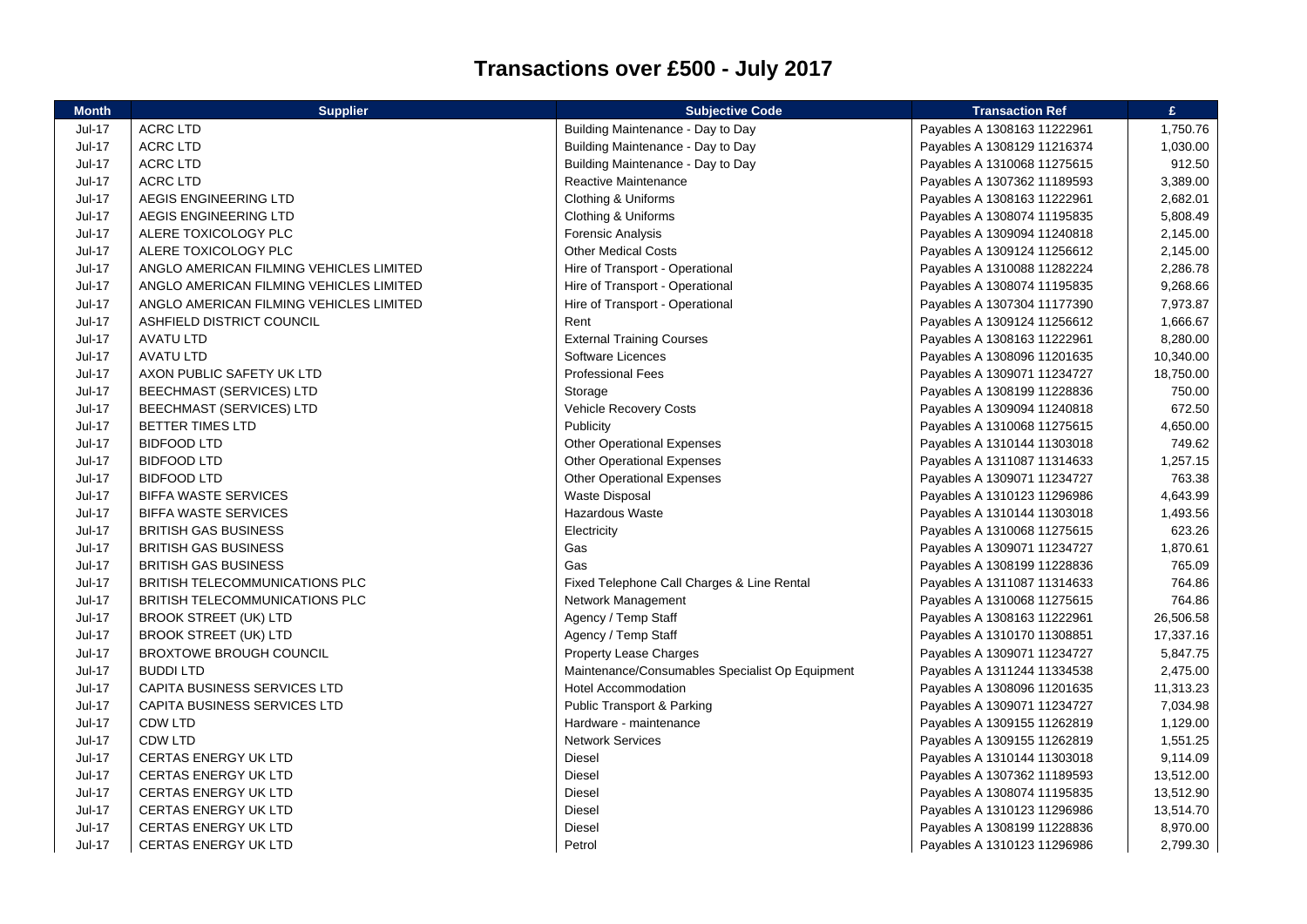## **Transactions over £500 - July 2017**

| <b>Month</b>  | <b>Supplier</b>                         | <b>Subjective Code</b>                          | <b>Transaction Ref</b>      | £         |
|---------------|-----------------------------------------|-------------------------------------------------|-----------------------------|-----------|
| <b>Jul-17</b> | <b>ACRC LTD</b>                         | Building Maintenance - Day to Day               | Payables A 1308163 11222961 | 1,750.76  |
| <b>Jul-17</b> | <b>ACRC LTD</b>                         | Building Maintenance - Day to Day               | Payables A 1308129 11216374 | 1,030.00  |
| <b>Jul-17</b> | <b>ACRC LTD</b>                         | Building Maintenance - Day to Day               | Payables A 1310068 11275615 | 912.50    |
| <b>Jul-17</b> | <b>ACRC LTD</b>                         | Reactive Maintenance                            | Payables A 1307362 11189593 | 3,389.00  |
| Jul-17        | AEGIS ENGINEERING LTD                   | Clothing & Uniforms                             | Payables A 1308163 11222961 | 2,682.01  |
| $Jul-17$      | AEGIS ENGINEERING LTD                   | Clothing & Uniforms                             | Payables A 1308074 11195835 | 5,808.49  |
| Jul-17        | ALERE TOXICOLOGY PLC                    | <b>Forensic Analysis</b>                        | Payables A 1309094 11240818 | 2,145.00  |
| <b>Jul-17</b> | ALERE TOXICOLOGY PLC                    | <b>Other Medical Costs</b>                      | Payables A 1309124 11256612 | 2,145.00  |
| Jul-17        | ANGLO AMERICAN FILMING VEHICLES LIMITED | Hire of Transport - Operational                 | Payables A 1310088 11282224 | 2,286.78  |
| <b>Jul-17</b> | ANGLO AMERICAN FILMING VEHICLES LIMITED | Hire of Transport - Operational                 | Payables A 1308074 11195835 | 9,268.66  |
| Jul-17        | ANGLO AMERICAN FILMING VEHICLES LIMITED | Hire of Transport - Operational                 | Payables A 1307304 11177390 | 7,973.87  |
| Jul-17        | ASHFIELD DISTRICT COUNCIL               | Rent                                            | Payables A 1309124 11256612 | 1,666.67  |
| $Jul-17$      | <b>AVATU LTD</b>                        | <b>External Training Courses</b>                | Payables A 1308163 11222961 | 8,280.00  |
| <b>Jul-17</b> | <b>AVATU LTD</b>                        | Software Licences                               | Payables A 1308096 11201635 | 10,340.00 |
| Jul-17        | AXON PUBLIC SAFETY UK LTD               | <b>Professional Fees</b>                        | Payables A 1309071 11234727 | 18,750.00 |
| <b>Jul-17</b> | BEECHMAST (SERVICES) LTD                | Storage                                         | Payables A 1308199 11228836 | 750.00    |
| Jul-17        | BEECHMAST (SERVICES) LTD                | <b>Vehicle Recovery Costs</b>                   | Payables A 1309094 11240818 | 672.50    |
| <b>Jul-17</b> | BETTER TIMES LTD                        | Publicity                                       | Payables A 1310068 11275615 | 4,650.00  |
| <b>Jul-17</b> | <b>BIDFOOD LTD</b>                      | <b>Other Operational Expenses</b>               | Payables A 1310144 11303018 | 749.62    |
| <b>Jul-17</b> | <b>BIDFOOD LTD</b>                      | <b>Other Operational Expenses</b>               | Payables A 1311087 11314633 | 1,257.15  |
| <b>Jul-17</b> | <b>BIDFOOD LTD</b>                      | <b>Other Operational Expenses</b>               | Payables A 1309071 11234727 | 763.38    |
| <b>Jul-17</b> | <b>BIFFA WASTE SERVICES</b>             | <b>Waste Disposal</b>                           | Payables A 1310123 11296986 | 4,643.99  |
| <b>Jul-17</b> | <b>BIFFA WASTE SERVICES</b>             | Hazardous Waste                                 | Payables A 1310144 11303018 | 1,493.56  |
| Jul-17        | <b>BRITISH GAS BUSINESS</b>             | Electricity                                     | Payables A 1310068 11275615 | 623.26    |
| <b>Jul-17</b> | <b>BRITISH GAS BUSINESS</b>             | Gas                                             | Payables A 1309071 11234727 | 1,870.61  |
| Jul-17        | <b>BRITISH GAS BUSINESS</b>             | Gas                                             | Payables A 1308199 11228836 | 765.09    |
| <b>Jul-17</b> | <b>BRITISH TELECOMMUNICATIONS PLC</b>   | Fixed Telephone Call Charges & Line Rental      | Payables A 1311087 11314633 | 764.86    |
| Jul-17        | <b>BRITISH TELECOMMUNICATIONS PLC</b>   | Network Management                              | Payables A 1310068 11275615 | 764.86    |
| <b>Jul-17</b> | <b>BROOK STREET (UK) LTD</b>            | Agency / Temp Staff                             | Payables A 1308163 11222961 | 26,506.58 |
| Jul-17        | <b>BROOK STREET (UK) LTD</b>            | Agency / Temp Staff                             | Payables A 1310170 11308851 | 17,337.16 |
| $Jul-17$      | <b>BROXTOWE BROUGH COUNCIL</b>          | <b>Property Lease Charges</b>                   | Payables A 1309071 11234727 | 5,847.75  |
| <b>Jul-17</b> | <b>BUDDILTD</b>                         | Maintenance/Consumables Specialist Op Equipment | Payables A 1311244 11334538 | 2,475.00  |
| <b>Jul-17</b> | CAPITA BUSINESS SERVICES LTD            | <b>Hotel Accommodation</b>                      | Payables A 1308096 11201635 | 11,313.23 |
| <b>Jul-17</b> | CAPITA BUSINESS SERVICES LTD            | <b>Public Transport &amp; Parking</b>           | Payables A 1309071 11234727 | 7,034.98  |
| Jul-17        | <b>CDW LTD</b>                          | Hardware - maintenance                          | Payables A 1309155 11262819 | 1,129.00  |
| <b>Jul-17</b> | <b>CDW LTD</b>                          | <b>Network Services</b>                         | Payables A 1309155 11262819 | 1,551.25  |
| Jul-17        | <b>CERTAS ENERGY UK LTD</b>             | Diesel                                          | Payables A 1310144 11303018 | 9,114.09  |
| <b>Jul-17</b> | <b>CERTAS ENERGY UK LTD</b>             | Diesel                                          | Payables A 1307362 11189593 | 13,512.00 |
| Jul-17        | <b>CERTAS ENERGY UK LTD</b>             | Diesel                                          | Payables A 1308074 11195835 | 13,512.90 |
| <b>Jul-17</b> | <b>CERTAS ENERGY UK LTD</b>             | <b>Diesel</b>                                   | Payables A 1310123 11296986 | 13,514.70 |
| Jul-17        | <b>CERTAS ENERGY UK LTD</b>             | Diesel                                          | Payables A 1308199 11228836 | 8,970.00  |
| <b>Jul-17</b> | <b>CERTAS ENERGY UK LTD</b>             | Petrol                                          | Payables A 1310123 11296986 | 2,799.30  |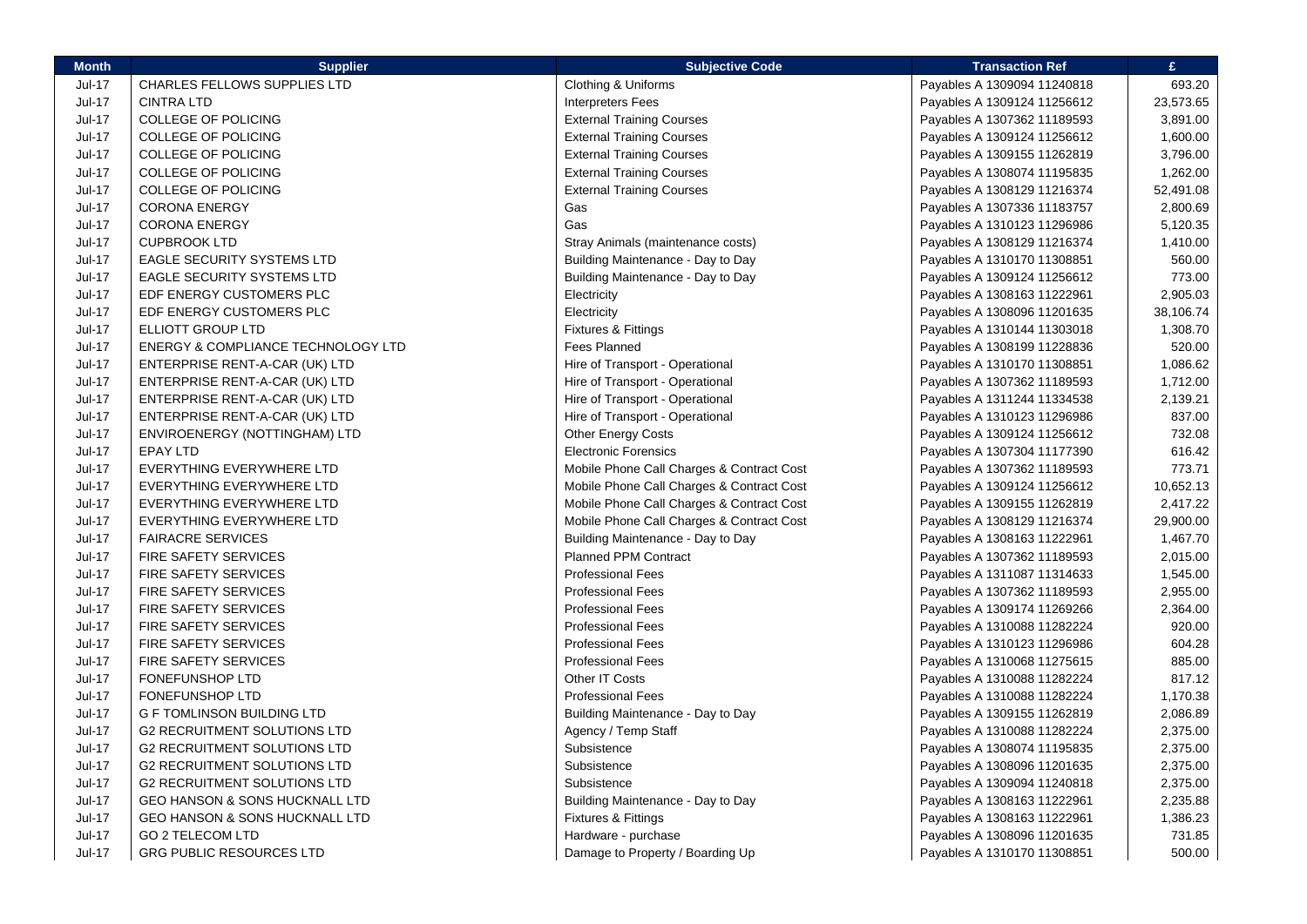| <b>Month</b>  | <b>Supplier</b>                     | <b>Subjective Code</b>                    | <b>Transaction Ref</b>      | £.        |
|---------------|-------------------------------------|-------------------------------------------|-----------------------------|-----------|
| Jul-17        | CHARLES FELLOWS SUPPLIES LTD        | Clothing & Uniforms                       | Payables A 1309094 11240818 | 693.20    |
| $Jul-17$      | <b>CINTRA LTD</b>                   | <b>Interpreters Fees</b>                  | Payables A 1309124 11256612 | 23,573.65 |
| Jul-17        | COLLEGE OF POLICING                 | <b>External Training Courses</b>          | Payables A 1307362 11189593 | 3,891.00  |
| <b>Jul-17</b> | <b>COLLEGE OF POLICING</b>          | <b>External Training Courses</b>          | Payables A 1309124 11256612 | 1,600.00  |
| <b>Jul-17</b> | <b>COLLEGE OF POLICING</b>          | <b>External Training Courses</b>          | Payables A 1309155 11262819 | 3,796.00  |
| Jul-17        | COLLEGE OF POLICING                 | <b>External Training Courses</b>          | Payables A 1308074 11195835 | 1,262.00  |
| $Jul-17$      | <b>COLLEGE OF POLICING</b>          | <b>External Training Courses</b>          | Payables A 1308129 11216374 | 52,491.08 |
| Jul-17        | <b>CORONA ENERGY</b>                | Gas                                       | Payables A 1307336 11183757 | 2,800.69  |
| <b>Jul-17</b> | <b>CORONA ENERGY</b>                | Gas                                       | Payables A 1310123 11296986 | 5,120.35  |
| <b>Jul-17</b> | <b>CUPBROOK LTD</b>                 | Stray Animals (maintenance costs)         | Payables A 1308129 11216374 | 1,410.00  |
| <b>Jul-17</b> | <b>EAGLE SECURITY SYSTEMS LTD</b>   | Building Maintenance - Day to Day         | Payables A 1310170 11308851 | 560.00    |
| Jul-17        | <b>EAGLE SECURITY SYSTEMS LTD</b>   | Building Maintenance - Day to Day         | Payables A 1309124 11256612 | 773.00    |
| Jul-17        | EDF ENERGY CUSTOMERS PLC            | Electricity                               | Payables A 1308163 11222961 | 2,905.03  |
| Jul-17        | EDF ENERGY CUSTOMERS PLC            | Electricity                               | Payables A 1308096 11201635 | 38,106.74 |
| <b>Jul-17</b> | ELLIOTT GROUP LTD                   | Fixtures & Fittings                       | Payables A 1310144 11303018 | 1,308.70  |
| Jul-17        | ENERGY & COMPLIANCE TECHNOLOGY LTD  | <b>Fees Planned</b>                       | Payables A 1308199 11228836 | 520.00    |
| <b>Jul-17</b> | ENTERPRISE RENT-A-CAR (UK) LTD      | Hire of Transport - Operational           | Payables A 1310170 11308851 | 1,086.62  |
| Jul-17        | ENTERPRISE RENT-A-CAR (UK) LTD      | Hire of Transport - Operational           | Payables A 1307362 11189593 | 1,712.00  |
| Jul-17        | ENTERPRISE RENT-A-CAR (UK) LTD      | Hire of Transport - Operational           | Payables A 1311244 11334538 | 2,139.21  |
| <b>Jul-17</b> | ENTERPRISE RENT-A-CAR (UK) LTD      | Hire of Transport - Operational           | Payables A 1310123 11296986 | 837.00    |
| <b>Jul-17</b> | ENVIROENERGY (NOTTINGHAM) LTD       | <b>Other Energy Costs</b>                 | Payables A 1309124 11256612 | 732.08    |
| <b>Jul-17</b> | <b>EPAY LTD</b>                     | <b>Electronic Forensics</b>               | Payables A 1307304 11177390 | 616.42    |
| Jul-17        | EVERYTHING EVERYWHERE LTD           | Mobile Phone Call Charges & Contract Cost | Payables A 1307362 11189593 | 773.71    |
| Jul-17        | EVERYTHING EVERYWHERE LTD           | Mobile Phone Call Charges & Contract Cost | Payables A 1309124 11256612 | 10,652.13 |
| Jul-17        | EVERYTHING EVERYWHERE LTD           | Mobile Phone Call Charges & Contract Cost | Payables A 1309155 11262819 | 2,417.22  |
| <b>Jul-17</b> | EVERYTHING EVERYWHERE LTD           | Mobile Phone Call Charges & Contract Cost | Payables A 1308129 11216374 | 29,900.00 |
| <b>Jul-17</b> | <b>FAIRACRE SERVICES</b>            | Building Maintenance - Day to Day         | Payables A 1308163 11222961 | 1,467.70  |
| <b>Jul-17</b> | <b>FIRE SAFETY SERVICES</b>         | <b>Planned PPM Contract</b>               | Payables A 1307362 11189593 | 2,015.00  |
| Jul-17        | <b>FIRE SAFETY SERVICES</b>         | <b>Professional Fees</b>                  | Payables A 1311087 11314633 | 1,545.00  |
| Jul-17        | FIRE SAFETY SERVICES                | <b>Professional Fees</b>                  | Payables A 1307362 11189593 | 2,955.00  |
| <b>Jul-17</b> | <b>FIRE SAFETY SERVICES</b>         | <b>Professional Fees</b>                  | Payables A 1309174 11269266 | 2,364.00  |
| Jul-17        | <b>FIRE SAFETY SERVICES</b>         | <b>Professional Fees</b>                  | Payables A 1310088 11282224 | 920.00    |
| <b>Jul-17</b> | <b>FIRE SAFETY SERVICES</b>         | <b>Professional Fees</b>                  | Payables A 1310123 11296986 | 604.28    |
| <b>Jul-17</b> | <b>FIRE SAFETY SERVICES</b>         | <b>Professional Fees</b>                  | Payables A 1310068 11275615 | 885.00    |
| Jul-17        | FONEFUNSHOP LTD                     | Other IT Costs                            | Payables A 1310088 11282224 | 817.12    |
| Jul-17        | FONEFUNSHOP LTD                     | <b>Professional Fees</b>                  | Payables A 1310088 11282224 | 1,170.38  |
| <b>Jul-17</b> | <b>G F TOMLINSON BUILDING LTD</b>   | Building Maintenance - Day to Day         | Payables A 1309155 11262819 | 2,086.89  |
| <b>Jul-17</b> | <b>G2 RECRUITMENT SOLUTIONS LTD</b> | Agency / Temp Staff                       | Payables A 1310088 11282224 | 2,375.00  |
| <b>Jul-17</b> | <b>G2 RECRUITMENT SOLUTIONS LTD</b> | Subsistence                               | Payables A 1308074 11195835 | 2,375.00  |
| Jul-17        | <b>G2 RECRUITMENT SOLUTIONS LTD</b> | Subsistence                               | Payables A 1308096 11201635 | 2,375.00  |
| Jul-17        | <b>G2 RECRUITMENT SOLUTIONS LTD</b> | Subsistence                               | Payables A 1309094 11240818 | 2,375.00  |
| <b>Jul-17</b> | GEO HANSON & SONS HUCKNALL LTD      | Building Maintenance - Day to Day         | Payables A 1308163 11222961 | 2,235.88  |
| Jul-17        | GEO HANSON & SONS HUCKNALL LTD      | <b>Fixtures &amp; Fittings</b>            | Payables A 1308163 11222961 | 1,386.23  |
| <b>Jul-17</b> | <b>GO 2 TELECOM LTD</b>             | Hardware - purchase                       | Payables A 1308096 11201635 | 731.85    |
| <b>Jul-17</b> | <b>GRG PUBLIC RESOURCES LTD</b>     |                                           |                             | 500.00    |
|               |                                     | Damage to Property / Boarding Up          | Payables A 1310170 11308851 |           |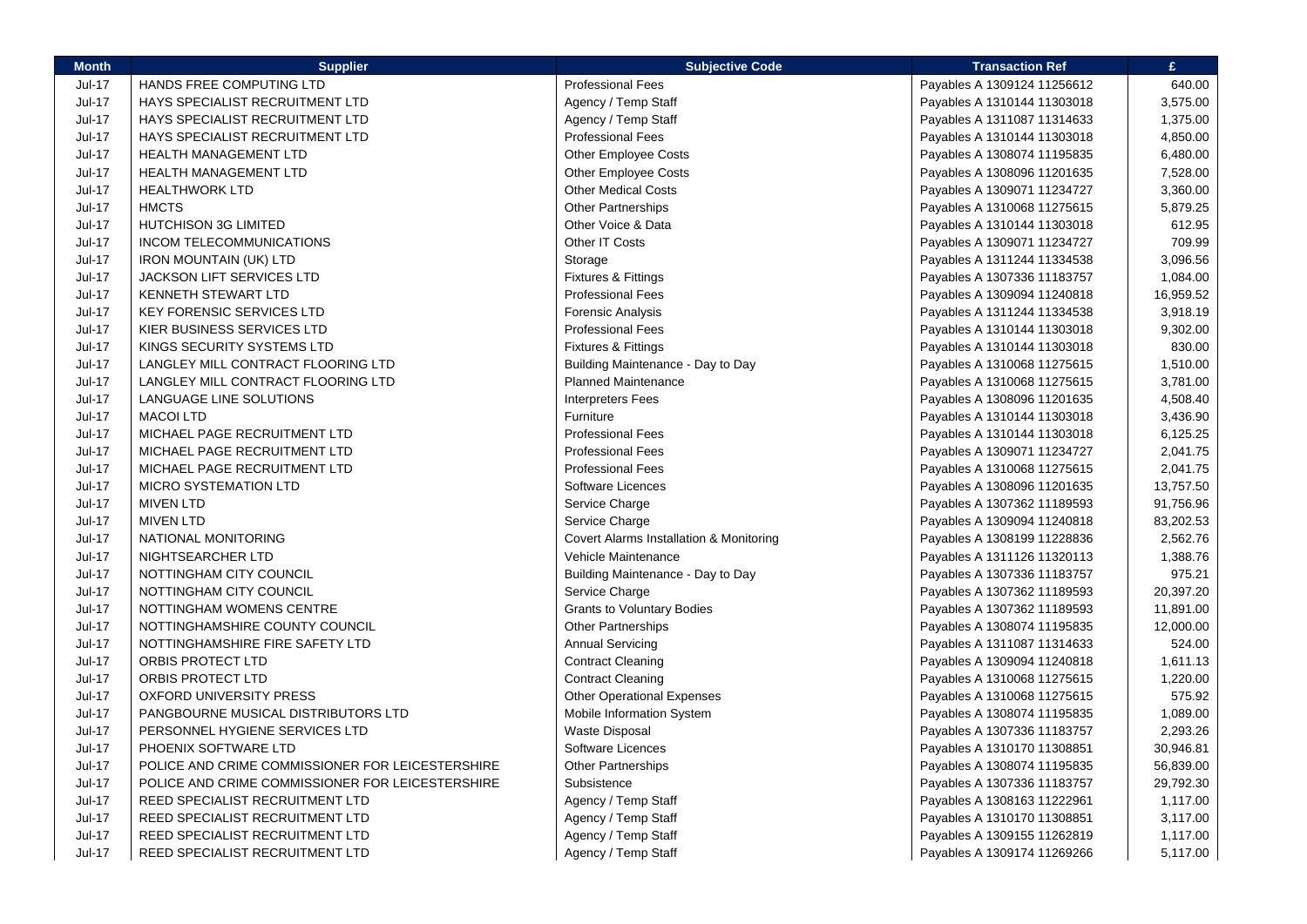| <b>Month</b>  | <b>Supplier</b>                                  | <b>Subjective Code</b>                  | <b>Transaction Ref</b>      | £         |
|---------------|--------------------------------------------------|-----------------------------------------|-----------------------------|-----------|
| Jul-17        | HANDS FREE COMPUTING LTD                         | <b>Professional Fees</b>                | Payables A 1309124 11256612 | 640.00    |
| <b>Jul-17</b> | <b>HAYS SPECIALIST RECRUITMENT LTD</b>           | Agency / Temp Staff                     | Payables A 1310144 11303018 | 3,575.00  |
| <b>Jul-17</b> | HAYS SPECIALIST RECRUITMENT LTD                  | Agency / Temp Staff                     | Payables A 1311087 11314633 | 1,375.00  |
| Jul-17        | <b>HAYS SPECIALIST RECRUITMENT LTD</b>           | <b>Professional Fees</b>                | Payables A 1310144 11303018 | 4,850.00  |
| <b>Jul-17</b> | HEALTH MANAGEMENT LTD                            | <b>Other Employee Costs</b>             | Payables A 1308074 11195835 | 6,480.00  |
| Jul-17        | <b>HEALTH MANAGEMENT LTD</b>                     | <b>Other Employee Costs</b>             | Payables A 1308096 11201635 | 7,528.00  |
| <b>Jul-17</b> | <b>HEALTHWORK LTD</b>                            | <b>Other Medical Costs</b>              | Payables A 1309071 11234727 | 3,360.00  |
| <b>Jul-17</b> | <b>HMCTS</b>                                     | Other Partnerships                      | Payables A 1310068 11275615 | 5,879.25  |
| <b>Jul-17</b> | <b>HUTCHISON 3G LIMITED</b>                      | Other Voice & Data                      | Payables A 1310144 11303018 | 612.95    |
| <b>Jul-17</b> | INCOM TELECOMMUNICATIONS                         | Other IT Costs                          | Payables A 1309071 11234727 | 709.99    |
| <b>Jul-17</b> | <b>IRON MOUNTAIN (UK) LTD</b>                    | Storage                                 | Payables A 1311244 11334538 | 3,096.56  |
| <b>Jul-17</b> | JACKSON LIFT SERVICES LTD                        | Fixtures & Fittings                     | Payables A 1307336 11183757 | 1,084.00  |
| <b>Jul-17</b> | <b>KENNETH STEWART LTD</b>                       | <b>Professional Fees</b>                | Payables A 1309094 11240818 | 16,959.52 |
| <b>Jul-17</b> | <b>KEY FORENSIC SERVICES LTD</b>                 | Forensic Analysis                       | Payables A 1311244 11334538 | 3,918.19  |
| <b>Jul-17</b> | KIER BUSINESS SERVICES LTD                       | <b>Professional Fees</b>                | Payables A 1310144 11303018 | 9,302.00  |
| <b>Jul-17</b> | KINGS SECURITY SYSTEMS LTD                       | Fixtures & Fittings                     | Payables A 1310144 11303018 | 830.00    |
| Jul-17        | LANGLEY MILL CONTRACT FLOORING LTD               | Building Maintenance - Day to Day       | Payables A 1310068 11275615 | 1,510.00  |
| <b>Jul-17</b> | LANGLEY MILL CONTRACT FLOORING LTD               | <b>Planned Maintenance</b>              | Payables A 1310068 11275615 | 3,781.00  |
| <b>Jul-17</b> | LANGUAGE LINE SOLUTIONS                          | <b>Interpreters Fees</b>                | Payables A 1308096 11201635 | 4,508.40  |
| <b>Jul-17</b> | <b>MACOI LTD</b>                                 | Furniture                               | Payables A 1310144 11303018 | 3,436.90  |
| <b>Jul-17</b> | MICHAEL PAGE RECRUITMENT LTD                     | <b>Professional Fees</b>                | Payables A 1310144 11303018 | 6,125.25  |
| Jul-17        | MICHAEL PAGE RECRUITMENT LTD                     | <b>Professional Fees</b>                | Payables A 1309071 11234727 | 2,041.75  |
| <b>Jul-17</b> | MICHAEL PAGE RECRUITMENT LTD                     | <b>Professional Fees</b>                | Payables A 1310068 11275615 | 2,041.75  |
| <b>Jul-17</b> | <b>MICRO SYSTEMATION LTD</b>                     | Software Licences                       | Payables A 1308096 11201635 | 13,757.50 |
| <b>Jul-17</b> | <b>MIVEN LTD</b>                                 | Service Charge                          | Payables A 1307362 11189593 | 91,756.96 |
| <b>Jul-17</b> | <b>MIVEN LTD</b>                                 | Service Charge                          | Payables A 1309094 11240818 | 83,202.53 |
| Jul-17        | NATIONAL MONITORING                              | Covert Alarms Installation & Monitoring | Payables A 1308199 11228836 | 2,562.76  |
| <b>Jul-17</b> | NIGHTSEARCHER LTD                                | Vehicle Maintenance                     | Payables A 1311126 11320113 | 1,388.76  |
| <b>Jul-17</b> | NOTTINGHAM CITY COUNCIL                          | Building Maintenance - Day to Day       | Payables A 1307336 11183757 | 975.21    |
| <b>Jul-17</b> | NOTTINGHAM CITY COUNCIL                          | Service Charge                          | Payables A 1307362 11189593 | 20,397.20 |
| <b>Jul-17</b> | NOTTINGHAM WOMENS CENTRE                         | <b>Grants to Voluntary Bodies</b>       | Payables A 1307362 11189593 | 11,891.00 |
| <b>Jul-17</b> | NOTTINGHAMSHIRE COUNTY COUNCIL                   | <b>Other Partnerships</b>               | Payables A 1308074 11195835 | 12,000.00 |
| <b>Jul-17</b> | NOTTINGHAMSHIRE FIRE SAFETY LTD                  | <b>Annual Servicing</b>                 | Payables A 1311087 11314633 | 524.00    |
| <b>Jul-17</b> | <b>ORBIS PROTECT LTD</b>                         | <b>Contract Cleaning</b>                | Payables A 1309094 11240818 | 1,611.13  |
| Jul-17        | <b>ORBIS PROTECT LTD</b>                         | <b>Contract Cleaning</b>                | Payables A 1310068 11275615 | 1,220.00  |
| <b>Jul-17</b> | OXFORD UNIVERSITY PRESS                          | <b>Other Operational Expenses</b>       | Payables A 1310068 11275615 | 575.92    |
| Jul-17        | PANGBOURNE MUSICAL DISTRIBUTORS LTD              | Mobile Information System               | Payables A 1308074 11195835 | 1,089.00  |
| <b>Jul-17</b> | PERSONNEL HYGIENE SERVICES LTD                   | <b>Waste Disposal</b>                   | Payables A 1307336 11183757 | 2,293.26  |
| Jul-17        | PHOENIX SOFTWARE LTD                             | Software Licences                       | Payables A 1310170 11308851 | 30,946.81 |
| Jul-17        | POLICE AND CRIME COMMISSIONER FOR LEICESTERSHIRE | Other Partnerships                      | Payables A 1308074 11195835 | 56,839.00 |
| <b>Jul-17</b> | POLICE AND CRIME COMMISSIONER FOR LEICESTERSHIRE | Subsistence                             | Payables A 1307336 11183757 | 29,792.30 |
| <b>Jul-17</b> | REED SPECIALIST RECRUITMENT LTD                  | Agency / Temp Staff                     | Payables A 1308163 11222961 | 1,117.00  |
| Jul-17        | REED SPECIALIST RECRUITMENT LTD                  | Agency / Temp Staff                     | Payables A 1310170 11308851 | 3,117.00  |
| Jul-17        | REED SPECIALIST RECRUITMENT LTD                  | Agency / Temp Staff                     | Payables A 1309155 11262819 | 1,117.00  |
| <b>Jul-17</b> | REED SPECIALIST RECRUITMENT LTD                  | Agency / Temp Staff                     | Payables A 1309174 11269266 | 5,117.00  |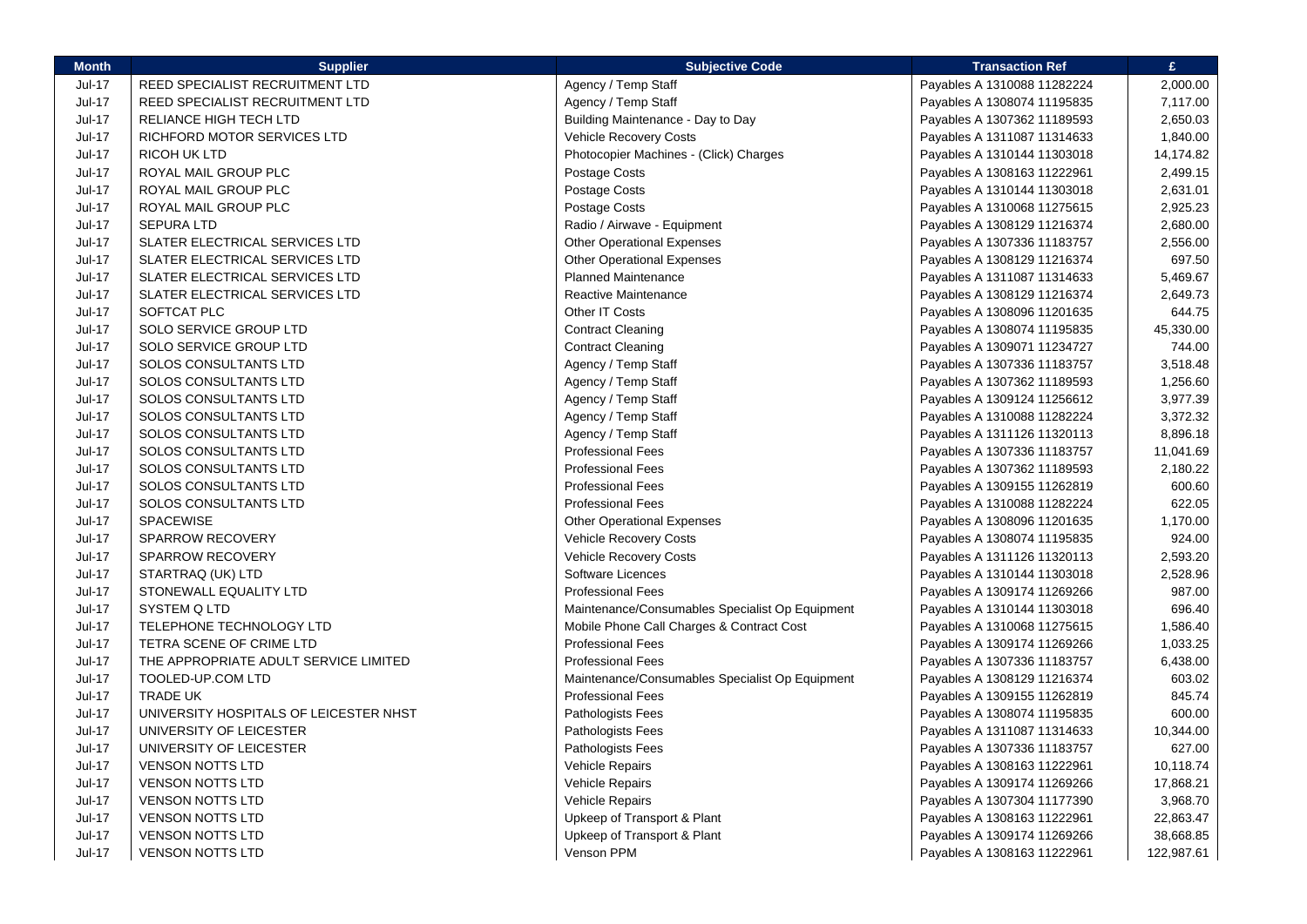| <b>Month</b>  | <b>Supplier</b>                        | <b>Subjective Code</b>                          | <b>Transaction Ref</b>      | £.         |
|---------------|----------------------------------------|-------------------------------------------------|-----------------------------|------------|
| <b>Jul-17</b> | REED SPECIALIST RECRUITMENT LTD        | Agency / Temp Staff                             | Payables A 1310088 11282224 | 2,000.00   |
| <b>Jul-17</b> | REED SPECIALIST RECRUITMENT LTD        | Agency / Temp Staff                             | Payables A 1308074 11195835 | 7,117.00   |
| <b>Jul-17</b> | <b>RELIANCE HIGH TECH LTD</b>          | Building Maintenance - Day to Day               | Payables A 1307362 11189593 | 2,650.03   |
| <b>Jul-17</b> | RICHFORD MOTOR SERVICES LTD            | <b>Vehicle Recovery Costs</b>                   | Payables A 1311087 11314633 | 1,840.00   |
| <b>Jul-17</b> | RICOH UK LTD                           | Photocopier Machines - (Click) Charges          | Payables A 1310144 11303018 | 14,174.82  |
| <b>Jul-17</b> | ROYAL MAIL GROUP PLC                   | Postage Costs                                   | Payables A 1308163 11222961 | 2,499.15   |
| Jul-17        | ROYAL MAIL GROUP PLC                   | Postage Costs                                   | Payables A 1310144 11303018 | 2,631.01   |
| Jul-17        | ROYAL MAIL GROUP PLC                   | Postage Costs                                   | Payables A 1310068 11275615 | 2,925.23   |
| Jul-17        | <b>SEPURA LTD</b>                      | Radio / Airwave - Equipment                     | Payables A 1308129 11216374 | 2,680.00   |
| <b>Jul-17</b> | SLATER ELECTRICAL SERVICES LTD         | <b>Other Operational Expenses</b>               | Payables A 1307336 11183757 | 2,556.00   |
| <b>Jul-17</b> | SLATER ELECTRICAL SERVICES LTD         | <b>Other Operational Expenses</b>               | Payables A 1308129 11216374 | 697.50     |
| <b>Jul-17</b> | <b>SLATER ELECTRICAL SERVICES LTD</b>  | <b>Planned Maintenance</b>                      | Payables A 1311087 11314633 | 5,469.67   |
| <b>Jul-17</b> | SLATER ELECTRICAL SERVICES LTD         | <b>Reactive Maintenance</b>                     | Payables A 1308129 11216374 | 2,649.73   |
| <b>Jul-17</b> | SOFTCAT PLC                            | Other IT Costs                                  | Payables A 1308096 11201635 | 644.75     |
| <b>Jul-17</b> | <b>SOLO SERVICE GROUP LTD</b>          | <b>Contract Cleaning</b>                        | Payables A 1308074 11195835 | 45,330.00  |
| <b>Jul-17</b> | SOLO SERVICE GROUP LTD                 | <b>Contract Cleaning</b>                        | Payables A 1309071 11234727 | 744.00     |
| $Jul-17$      | <b>SOLOS CONSULTANTS LTD</b>           | Agency / Temp Staff                             | Payables A 1307336 11183757 | 3,518.48   |
| <b>Jul-17</b> | SOLOS CONSULTANTS LTD                  | Agency / Temp Staff                             | Payables A 1307362 11189593 | 1,256.60   |
| <b>Jul-17</b> | <b>SOLOS CONSULTANTS LTD</b>           | Agency / Temp Staff                             | Payables A 1309124 11256612 | 3,977.39   |
| $Jul-17$      | SOLOS CONSULTANTS LTD                  | Agency / Temp Staff                             | Payables A 1310088 11282224 | 3,372.32   |
| <b>Jul-17</b> | SOLOS CONSULTANTS LTD                  | Agency / Temp Staff                             | Payables A 1311126 11320113 | 8,896.18   |
| <b>Jul-17</b> | SOLOS CONSULTANTS LTD                  | <b>Professional Fees</b>                        | Payables A 1307336 11183757 | 11,041.69  |
| <b>Jul-17</b> | <b>SOLOS CONSULTANTS LTD</b>           | <b>Professional Fees</b>                        | Payables A 1307362 11189593 | 2,180.22   |
| <b>Jul-17</b> | <b>SOLOS CONSULTANTS LTD</b>           | <b>Professional Fees</b>                        | Payables A 1309155 11262819 | 600.60     |
| <b>Jul-17</b> | <b>SOLOS CONSULTANTS LTD</b>           | <b>Professional Fees</b>                        | Payables A 1310088 11282224 | 622.05     |
| <b>Jul-17</b> | <b>SPACEWISE</b>                       | <b>Other Operational Expenses</b>               | Payables A 1308096 11201635 | 1,170.00   |
| Jul-17        | SPARROW RECOVERY                       | Vehicle Recovery Costs                          | Payables A 1308074 11195835 | 924.00     |
| Jul-17        | SPARROW RECOVERY                       | Vehicle Recovery Costs                          | Payables A 1311126 11320113 | 2,593.20   |
| Jul-17        | STARTRAQ (UK) LTD                      | Software Licences                               | Payables A 1310144 11303018 | 2,528.96   |
| $Jul-17$      | STONEWALL EQUALITY LTD                 | <b>Professional Fees</b>                        | Payables A 1309174 11269266 | 987.00     |
| <b>Jul-17</b> | SYSTEM Q LTD                           | Maintenance/Consumables Specialist Op Equipment | Payables A 1310144 11303018 | 696.40     |
| <b>Jul-17</b> | TELEPHONE TECHNOLOGY LTD               | Mobile Phone Call Charges & Contract Cost       | Payables A 1310068 11275615 | 1,586.40   |
| <b>Jul-17</b> | TETRA SCENE OF CRIME LTD               | <b>Professional Fees</b>                        | Payables A 1309174 11269266 | 1,033.25   |
| <b>Jul-17</b> | THE APPROPRIATE ADULT SERVICE LIMITED  | <b>Professional Fees</b>                        | Payables A 1307336 11183757 | 6,438.00   |
| <b>Jul-17</b> | TOOLED-UP.COM LTD                      | Maintenance/Consumables Specialist Op Equipment | Payables A 1308129 11216374 | 603.02     |
| Jul-17        | <b>TRADE UK</b>                        | <b>Professional Fees</b>                        | Payables A 1309155 11262819 | 845.74     |
| Jul-17        | UNIVERSITY HOSPITALS OF LEICESTER NHST | Pathologists Fees                               | Payables A 1308074 11195835 | 600.00     |
| $Jul-17$      | UNIVERSITY OF LEICESTER                | Pathologists Fees                               | Payables A 1311087 11314633 | 10,344.00  |
| <b>Jul-17</b> | UNIVERSITY OF LEICESTER                | Pathologists Fees                               | Payables A 1307336 11183757 | 627.00     |
| <b>Jul-17</b> | <b>VENSON NOTTS LTD</b>                | <b>Vehicle Repairs</b>                          | Payables A 1308163 11222961 | 10,118.74  |
| $Jul-17$      | <b>VENSON NOTTS LTD</b>                | <b>Vehicle Repairs</b>                          | Payables A 1309174 11269266 | 17,868.21  |
| <b>Jul-17</b> | <b>VENSON NOTTS LTD</b>                | <b>Vehicle Repairs</b>                          | Payables A 1307304 11177390 | 3,968.70   |
| <b>Jul-17</b> | <b>VENSON NOTTS LTD</b>                | Upkeep of Transport & Plant                     | Payables A 1308163 11222961 | 22,863.47  |
| <b>Jul-17</b> | <b>VENSON NOTTS LTD</b>                | Upkeep of Transport & Plant                     | Payables A 1309174 11269266 | 38,668.85  |
| <b>Jul-17</b> | <b>VENSON NOTTS LTD</b>                | Venson PPM                                      | Payables A 1308163 11222961 | 122,987.61 |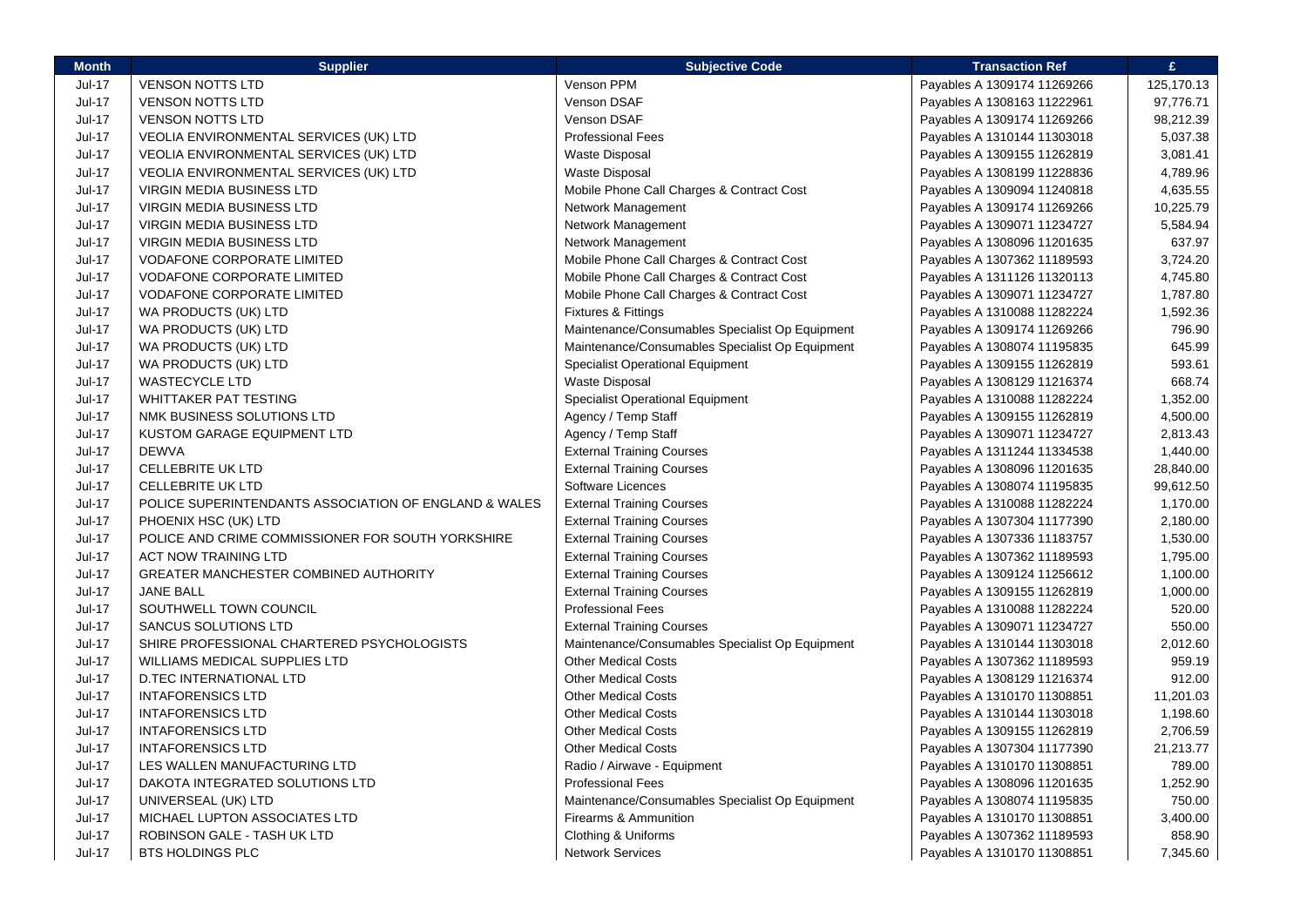| <b>Month</b>  | <b>Supplier</b>                                       | <b>Subjective Code</b>                          | <b>Transaction Ref</b>      | £          |
|---------------|-------------------------------------------------------|-------------------------------------------------|-----------------------------|------------|
| <b>Jul-17</b> | <b>VENSON NOTTS LTD</b>                               | Venson PPM                                      | Payables A 1309174 11269266 | 125,170.13 |
| <b>Jul-17</b> | <b>VENSON NOTTS LTD</b>                               | Venson DSAF                                     | Payables A 1308163 11222961 | 97,776.71  |
| <b>Jul-17</b> | <b>VENSON NOTTS LTD</b>                               | <b>Venson DSAF</b>                              | Payables A 1309174 11269266 | 98,212.39  |
| <b>Jul-17</b> | VEOLIA ENVIRONMENTAL SERVICES (UK) LTD                | <b>Professional Fees</b>                        | Payables A 1310144 11303018 | 5,037.38   |
| <b>Jul-17</b> | VEOLIA ENVIRONMENTAL SERVICES (UK) LTD                | <b>Waste Disposal</b>                           | Payables A 1309155 11262819 | 3,081.41   |
| Jul-17        | VEOLIA ENVIRONMENTAL SERVICES (UK) LTD                | <b>Waste Disposal</b>                           | Payables A 1308199 11228836 | 4,789.96   |
| <b>Jul-17</b> | VIRGIN MEDIA BUSINESS LTD                             | Mobile Phone Call Charges & Contract Cost       | Payables A 1309094 11240818 | 4,635.55   |
| <b>Jul-17</b> | <b>VIRGIN MEDIA BUSINESS LTD</b>                      | Network Management                              | Payables A 1309174 11269266 | 10,225.79  |
| <b>Jul-17</b> | <b>VIRGIN MEDIA BUSINESS LTD</b>                      | Network Management                              | Payables A 1309071 11234727 | 5,584.94   |
| Jul-17        | <b>VIRGIN MEDIA BUSINESS LTD</b>                      | Network Management                              | Payables A 1308096 11201635 | 637.97     |
| <b>Jul-17</b> | VODAFONE CORPORATE LIMITED                            | Mobile Phone Call Charges & Contract Cost       | Payables A 1307362 11189593 | 3,724.20   |
| <b>Jul-17</b> | <b>VODAFONE CORPORATE LIMITED</b>                     | Mobile Phone Call Charges & Contract Cost       | Payables A 1311126 11320113 | 4,745.80   |
| <b>Jul-17</b> | <b>VODAFONE CORPORATE LIMITED</b>                     | Mobile Phone Call Charges & Contract Cost       | Payables A 1309071 11234727 | 1,787.80   |
| Jul-17        | WA PRODUCTS (UK) LTD                                  | Fixtures & Fittings                             | Payables A 1310088 11282224 | 1,592.36   |
| <b>Jul-17</b> | WA PRODUCTS (UK) LTD                                  | Maintenance/Consumables Specialist Op Equipment | Payables A 1309174 11269266 | 796.90     |
| Jul-17        | WA PRODUCTS (UK) LTD                                  | Maintenance/Consumables Specialist Op Equipment | Payables A 1308074 11195835 | 645.99     |
| <b>Jul-17</b> | WA PRODUCTS (UK) LTD                                  | <b>Specialist Operational Equipment</b>         | Payables A 1309155 11262819 | 593.61     |
| Jul-17        | <b>WASTECYCLE LTD</b>                                 | <b>Waste Disposal</b>                           | Payables A 1308129 11216374 | 668.74     |
| Jul-17        | WHITTAKER PAT TESTING                                 | <b>Specialist Operational Equipment</b>         | Payables A 1310088 11282224 | 1,352.00   |
| <b>Jul-17</b> | NMK BUSINESS SOLUTIONS LTD                            | Agency / Temp Staff                             | Payables A 1309155 11262819 | 4,500.00   |
| <b>Jul-17</b> | KUSTOM GARAGE EQUIPMENT LTD                           | Agency / Temp Staff                             | Payables A 1309071 11234727 | 2,813.43   |
| <b>Jul-17</b> | <b>DEWVA</b>                                          | <b>External Training Courses</b>                | Payables A 1311244 11334538 | 1,440.00   |
| <b>Jul-17</b> | <b>CELLEBRITE UK LTD</b>                              | <b>External Training Courses</b>                | Payables A 1308096 11201635 | 28,840.00  |
| <b>Jul-17</b> | <b>CELLEBRITE UK LTD</b>                              | Software Licences                               | Payables A 1308074 11195835 | 99,612.50  |
| <b>Jul-17</b> | POLICE SUPERINTENDANTS ASSOCIATION OF ENGLAND & WALES | <b>External Training Courses</b>                | Payables A 1310088 11282224 | 1,170.00   |
| <b>Jul-17</b> | PHOENIX HSC (UK) LTD                                  | <b>External Training Courses</b>                | Payables A 1307304 11177390 | 2,180.00   |
| Jul-17        | POLICE AND CRIME COMMISSIONER FOR SOUTH YORKSHIRE     | <b>External Training Courses</b>                | Payables A 1307336 11183757 | 1,530.00   |
| <b>Jul-17</b> | <b>ACT NOW TRAINING LTD</b>                           | <b>External Training Courses</b>                | Payables A 1307362 11189593 | 1,795.00   |
| <b>Jul-17</b> | GREATER MANCHESTER COMBINED AUTHORITY                 | <b>External Training Courses</b>                | Payables A 1309124 11256612 | 1,100.00   |
| Jul-17        | <b>JANE BALL</b>                                      | <b>External Training Courses</b>                | Payables A 1309155 11262819 | 1,000.00   |
| Jul-17        | SOUTHWELL TOWN COUNCIL                                | <b>Professional Fees</b>                        | Payables A 1310088 11282224 | 520.00     |
| <b>Jul-17</b> | <b>SANCUS SOLUTIONS LTD</b>                           | <b>External Training Courses</b>                | Payables A 1309071 11234727 | 550.00     |
| <b>Jul-17</b> | SHIRE PROFESSIONAL CHARTERED PSYCHOLOGISTS            | Maintenance/Consumables Specialist Op Equipment | Payables A 1310144 11303018 | 2,012.60   |
| <b>Jul-17</b> | WILLIAMS MEDICAL SUPPLIES LTD                         | <b>Other Medical Costs</b>                      | Payables A 1307362 11189593 | 959.19     |
| Jul-17        | D.TEC INTERNATIONAL LTD                               | <b>Other Medical Costs</b>                      | Payables A 1308129 11216374 | 912.00     |
| <b>Jul-17</b> | <b>INTAFORENSICS LTD</b>                              | <b>Other Medical Costs</b>                      | Payables A 1310170 11308851 | 11,201.03  |
| <b>Jul-17</b> | <b>INTAFORENSICS LTD</b>                              | <b>Other Medical Costs</b>                      | Payables A 1310144 11303018 | 1,198.60   |
| $Jul-17$      | <b>INTAFORENSICS LTD</b>                              | <b>Other Medical Costs</b>                      | Payables A 1309155 11262819 | 2,706.59   |
| <b>Jul-17</b> | <b>INTAFORENSICS LTD</b>                              | <b>Other Medical Costs</b>                      | Payables A 1307304 11177390 | 21,213.77  |
| <b>Jul-17</b> | LES WALLEN MANUFACTURING LTD                          | Radio / Airwave - Equipment                     | Payables A 1310170 11308851 | 789.00     |
| <b>Jul-17</b> | DAKOTA INTEGRATED SOLUTIONS LTD                       | <b>Professional Fees</b>                        | Payables A 1308096 11201635 | 1,252.90   |
| <b>Jul-17</b> | UNIVERSEAL (UK) LTD                                   | Maintenance/Consumables Specialist Op Equipment | Payables A 1308074 11195835 | 750.00     |
| Jul-17        | <b>MICHAEL LUPTON ASSOCIATES LTD</b>                  | Firearms & Ammunition                           | Payables A 1310170 11308851 | 3,400.00   |
| <b>Jul-17</b> | ROBINSON GALE - TASH UK LTD                           | Clothing & Uniforms                             | Payables A 1307362 11189593 | 858.90     |
| <b>Jul-17</b> | <b>BTS HOLDINGS PLC</b>                               | <b>Network Services</b>                         | Payables A 1310170 11308851 | 7,345.60   |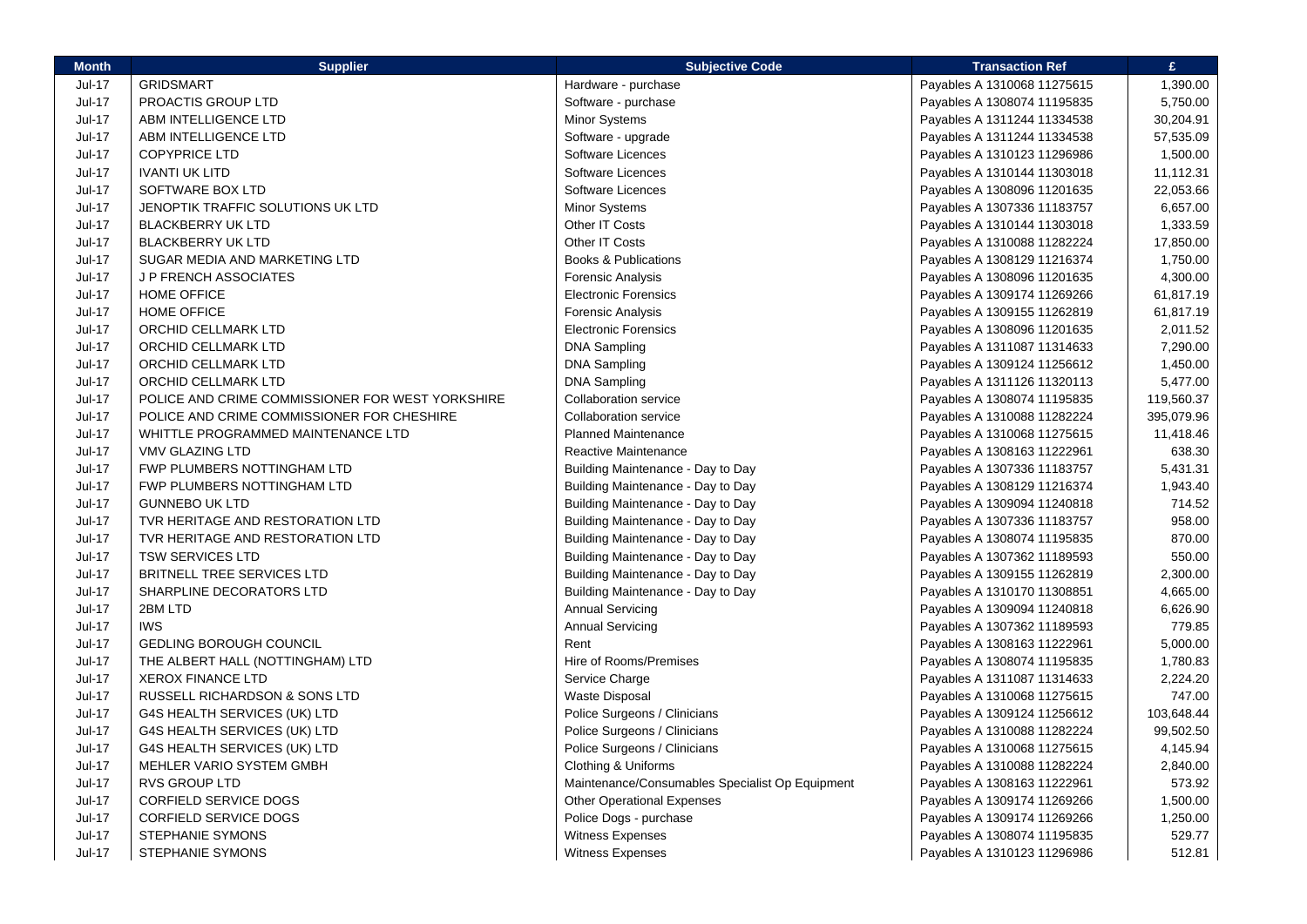| <b>Month</b>  | <b>Supplier</b>                                  | <b>Subjective Code</b>                          | <b>Transaction Ref</b>      | £.         |
|---------------|--------------------------------------------------|-------------------------------------------------|-----------------------------|------------|
| Jul-17        | <b>GRIDSMART</b>                                 | Hardware - purchase                             | Payables A 1310068 11275615 | 1,390.00   |
| <b>Jul-17</b> | PROACTIS GROUP LTD                               | Software - purchase                             | Payables A 1308074 11195835 | 5,750.00   |
| Jul-17        | ABM INTELLIGENCE LTD                             | <b>Minor Systems</b>                            | Payables A 1311244 11334538 | 30,204.91  |
| Jul-17        | ABM INTELLIGENCE LTD                             | Software - upgrade                              | Payables A 1311244 11334538 | 57,535.09  |
| Jul-17        | <b>COPYPRICE LTD</b>                             | Software Licences                               | Payables A 1310123 11296986 | 1,500.00   |
| <b>Jul-17</b> | <b>IVANTI UK LITD</b>                            | Software Licences                               | Payables A 1310144 11303018 | 11,112.31  |
| Jul-17        | SOFTWARE BOX LTD                                 | Software Licences                               | Payables A 1308096 11201635 | 22,053.66  |
| <b>Jul-17</b> | JENOPTIK TRAFFIC SOLUTIONS UK LTD                | Minor Systems                                   | Payables A 1307336 11183757 | 6,657.00   |
| Jul-17        | <b>BLACKBERRY UK LTD</b>                         | Other IT Costs                                  | Payables A 1310144 11303018 | 1,333.59   |
| <b>Jul-17</b> | <b>BLACKBERRY UK LTD</b>                         | Other IT Costs                                  | Payables A 1310088 11282224 | 17,850.00  |
| <b>Jul-17</b> | SUGAR MEDIA AND MARKETING LTD                    | Books & Publications                            | Payables A 1308129 11216374 | 1,750.00   |
| Jul-17        | <b>JP FRENCH ASSOCIATES</b>                      | <b>Forensic Analysis</b>                        | Payables A 1308096 11201635 | 4,300.00   |
| Jul-17        | <b>HOME OFFICE</b>                               | <b>Electronic Forensics</b>                     | Payables A 1309174 11269266 | 61,817.19  |
| Jul-17        | <b>HOME OFFICE</b>                               | Forensic Analysis                               | Payables A 1309155 11262819 | 61,817.19  |
| <b>Jul-17</b> | ORCHID CELLMARK LTD                              | <b>Electronic Forensics</b>                     | Payables A 1308096 11201635 | 2,011.52   |
| <b>Jul-17</b> | ORCHID CELLMARK LTD                              | <b>DNA Sampling</b>                             | Payables A 1311087 11314633 | 7,290.00   |
| <b>Jul-17</b> | <b>ORCHID CELLMARK LTD</b>                       | <b>DNA Sampling</b>                             | Payables A 1309124 11256612 | 1,450.00   |
| Jul-17        | ORCHID CELLMARK LTD                              | <b>DNA Sampling</b>                             | Payables A 1311126 11320113 | 5,477.00   |
| <b>Jul-17</b> | POLICE AND CRIME COMMISSIONER FOR WEST YORKSHIRE | <b>Collaboration service</b>                    | Payables A 1308074 11195835 | 119,560.37 |
| <b>Jul-17</b> | POLICE AND CRIME COMMISSIONER FOR CHESHIRE       | <b>Collaboration service</b>                    | Payables A 1310088 11282224 | 395,079.96 |
| <b>Jul-17</b> | WHITTLE PROGRAMMED MAINTENANCE LTD               | <b>Planned Maintenance</b>                      | Payables A 1310068 11275615 | 11,418.46  |
| <b>Jul-17</b> | <b>VMV GLAZING LTD</b>                           | Reactive Maintenance                            | Payables A 1308163 11222961 | 638.30     |
| Jul-17        | FWP PLUMBERS NOTTINGHAM LTD                      | Building Maintenance - Day to Day               | Payables A 1307336 11183757 | 5,431.31   |
| Jul-17        | FWP PLUMBERS NOTTINGHAM LTD                      | Building Maintenance - Day to Day               | Payables A 1308129 11216374 | 1,943.40   |
| Jul-17        | <b>GUNNEBO UK LTD</b>                            | Building Maintenance - Day to Day               | Payables A 1309094 11240818 | 714.52     |
| Jul-17        | TVR HERITAGE AND RESTORATION LTD                 | Building Maintenance - Day to Day               | Payables A 1307336 11183757 | 958.00     |
| <b>Jul-17</b> | TVR HERITAGE AND RESTORATION LTD                 | Building Maintenance - Day to Day               | Payables A 1308074 11195835 | 870.00     |
| <b>Jul-17</b> | <b>TSW SERVICES LTD</b>                          | Building Maintenance - Day to Day               | Payables A 1307362 11189593 | 550.00     |
| <b>Jul-17</b> | BRITNELL TREE SERVICES LTD                       | Building Maintenance - Day to Day               | Payables A 1309155 11262819 | 2,300.00   |
| <b>Jul-17</b> | SHARPLINE DECORATORS LTD                         | Building Maintenance - Day to Day               | Payables A 1310170 11308851 | 4,665.00   |
| <b>Jul-17</b> | 2BM LTD                                          | <b>Annual Servicing</b>                         | Payables A 1309094 11240818 | 6,626.90   |
| Jul-17        | <b>IWS</b>                                       | <b>Annual Servicing</b>                         | Payables A 1307362 11189593 | 779.85     |
| <b>Jul-17</b> | <b>GEDLING BOROUGH COUNCIL</b>                   | Rent                                            | Payables A 1308163 11222961 | 5,000.00   |
| Jul-17        | THE ALBERT HALL (NOTTINGHAM) LTD                 | <b>Hire of Rooms/Premises</b>                   | Payables A 1308074 11195835 | 1,780.83   |
| <b>Jul-17</b> | <b>XEROX FINANCE LTD</b>                         | Service Charge                                  | Payables A 1311087 11314633 | 2,224.20   |
| Jul-17        | RUSSELL RICHARDSON & SONS LTD                    | Waste Disposal                                  | Payables A 1310068 11275615 | 747.00     |
| <b>Jul-17</b> | G4S HEALTH SERVICES (UK) LTD                     | Police Surgeons / Clinicians                    | Payables A 1309124 11256612 | 103,648.44 |
| <b>Jul-17</b> | G4S HEALTH SERVICES (UK) LTD                     | Police Surgeons / Clinicians                    | Payables A 1310088 11282224 | 99,502.50  |
| Jul-17        | G4S HEALTH SERVICES (UK) LTD                     | Police Surgeons / Clinicians                    | Payables A 1310068 11275615 | 4,145.94   |
| <b>Jul-17</b> | MEHLER VARIO SYSTEM GMBH                         | Clothing & Uniforms                             | Payables A 1310088 11282224 | 2,840.00   |
| <b>Jul-17</b> | <b>RVS GROUP LTD</b>                             | Maintenance/Consumables Specialist Op Equipment | Payables A 1308163 11222961 | 573.92     |
| Jul-17        | <b>CORFIELD SERVICE DOGS</b>                     | <b>Other Operational Expenses</b>               | Payables A 1309174 11269266 | 1,500.00   |
| Jul-17        | <b>CORFIELD SERVICE DOGS</b>                     | Police Dogs - purchase                          | Payables A 1309174 11269266 | 1,250.00   |
| Jul-17        | <b>STEPHANIE SYMONS</b>                          | <b>Witness Expenses</b>                         | Payables A 1308074 11195835 | 529.77     |
| Jul-17        | <b>STEPHANIE SYMONS</b>                          | Witness Expenses                                | Payables A 1310123 11296986 | 512.81     |
|               |                                                  |                                                 |                             |            |